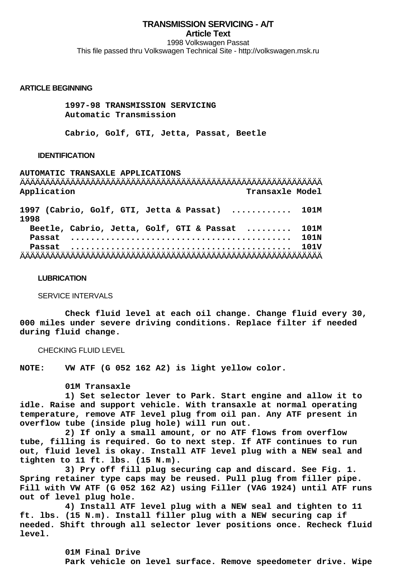# **TRANSMISSION SERVICING - A/T Article Text** 1998 Volkswagen Passat This file passed thru Volkswagen Technical Site - http://volkswagen.msk.ru

#### **ARTICLE BEGINNING**

 **1997-98 TRANSMISSION SERVICING Automatic Transmission**

 **Cabrio, Golf, GTI, Jetta, Passat, Beetle**

#### **IDENTIFICATION**

**AUTOMATIC TRANSAXLE APPLICATIONS** ÄÄÄÄÄÄÄÄÄÄÄÄÄÄÄÄÄÄÄÄÄÄÄÄÄÄÄÄÄÄÄÄÄÄÄÄÄÄÄÄÄÄÄÄÄÄÄÄÄÄÄÄÄÄÄÄÄÄÄÄ **Application Transaxle Model 1997 (Cabrio, Golf, GTI, Jetta & Passat) ............ 101M 1998 Beetle, Cabrio, Jetta, Golf, GTI & Passat ......... 101M Passat ............................................ 101N Passat ............................................ 101V** ÄÄÄÄÄÄÄÄÄÄÄÄÄÄÄÄÄÄÄÄÄÄÄÄÄÄÄÄÄÄÄÄÄÄÄÄÄÄÄÄÄÄÄÄÄÄÄÄÄÄÄÄÄÄÄÄÄÄÄÄ

#### **LUBRICATION**

SERVICE INTERVALS

 **Check fluid level at each oil change. Change fluid every 30, 000 miles under severe driving conditions. Replace filter if needed during fluid change.**

CHECKING FLUID LEVEL

**NOTE: VW ATF (G 052 162 A2) is light yellow color.**

 **01M Transaxle**

 **1) Set selector lever to Park. Start engine and allow it to idle. Raise and support vehicle. With transaxle at normal operating temperature, remove ATF level plug from oil pan. Any ATF present in overflow tube (inside plug hole) will run out.**

 **2) If only a small amount, or no ATF flows from overflow tube, filling is required. Go to next step. If ATF continues to run out, fluid level is okay. Install ATF level plug with a NEW seal and tighten to 11 ft. lbs. (15 N.m).**

 **3) Pry off fill plug securing cap and discard. See Fig. 1. Spring retainer type caps may be reused. Pull plug from filler pipe. Fill with VW ATF (G 052 162 A2) using Filler (VAG 1924) until ATF runs out of level plug hole.**

 **4) Install ATF level plug with a NEW seal and tighten to 11 ft. lbs. (15 N.m). Install filler plug with a NEW securing cap if needed. Shift through all selector lever positions once. Recheck fluid level.**

> **01M Final Drive Park vehicle on level surface. Remove speedometer drive. Wipe**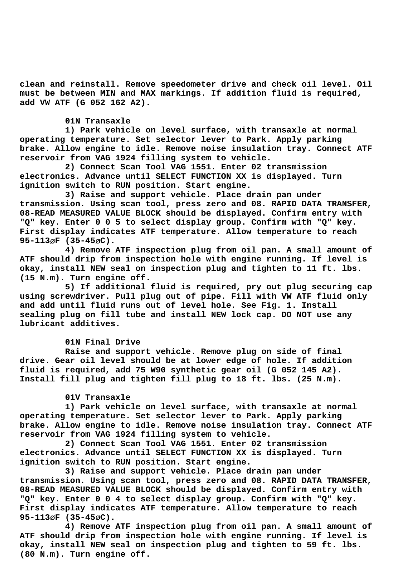**clean and reinstall. Remove speedometer drive and check oil level. Oil must be between MIN and MAX markings. If addition fluid is required, add VW ATF (G 052 162 A2).**

## **01N Transaxle**

 **1) Park vehicle on level surface, with transaxle at normal operating temperature. Set selector lever to Park. Apply parking brake. Allow engine to idle. Remove noise insulation tray. Connect ATF reservoir from VAG 1924 filling system to vehicle.**

 **2) Connect Scan Tool VAG 1551. Enter 02 transmission electronics. Advance until SELECT FUNCTION XX is displayed. Turn ignition switch to RUN position. Start engine.**

 **3) Raise and support vehicle. Place drain pan under transmission. Using scan tool, press zero and 08. RAPID DATA TRANSFER, 08-READ MEASURED VALUE BLOCK should be displayed. Confirm entry with "Q" key. Enter 0 0 5 to select display group. Confirm with "Q" key. First display indicates ATF temperature. Allow temperature to reach 95-113**ø**F (35-45**ø**C).**

 **4) Remove ATF inspection plug from oil pan. A small amount of ATF should drip from inspection hole with engine running. If level is okay, install NEW seal on inspection plug and tighten to 11 ft. lbs. (15 N.m). Turn engine off.**

 **5) If additional fluid is required, pry out plug securing cap using screwdriver. Pull plug out of pipe. Fill with VW ATF fluid only and add until fluid runs out of level hole. See Fig. 1. Install sealing plug on fill tube and install NEW lock cap. DO NOT use any lubricant additives.**

#### **01N Final Drive**

 **Raise and support vehicle. Remove plug on side of final drive. Gear oil level should be at lower edge of hole. If addition fluid is required, add 75 W90 synthetic gear oil (G 052 145 A2). Install fill plug and tighten fill plug to 18 ft. lbs. (25 N.m).**

#### **01V Transaxle**

 **1) Park vehicle on level surface, with transaxle at normal operating temperature. Set selector lever to Park. Apply parking brake. Allow engine to idle. Remove noise insulation tray. Connect ATF reservoir from VAG 1924 filling system to vehicle.**

 **2) Connect Scan Tool VAG 1551. Enter 02 transmission electronics. Advance until SELECT FUNCTION XX is displayed. Turn ignition switch to RUN position. Start engine.**

 **3) Raise and support vehicle. Place drain pan under transmission. Using scan tool, press zero and 08. RAPID DATA TRANSFER, 08-READ MEASURED VALUE BLOCK should be displayed. Confirm entry with "Q" key. Enter 0 0 4 to select display group. Confirm with "Q" key. First display indicates ATF temperature. Allow temperature to reach 95-113**ø**F (35-45**ø**C).**

 **4) Remove ATF inspection plug from oil pan. A small amount of ATF should drip from inspection hole with engine running. If level is okay, install NEW seal on inspection plug and tighten to 59 ft. lbs. (80 N.m). Turn engine off.**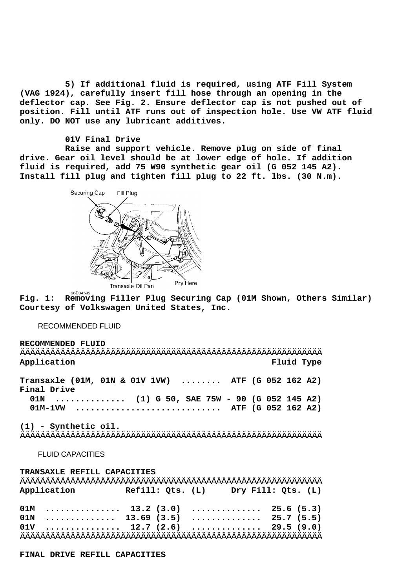**5) If additional fluid is required, using ATF Fill System (VAG 1924), carefully insert fill hose through an opening in the deflector cap. See Fig. 2. Ensure deflector cap is not pushed out of position. Fill until ATF runs out of inspection hole. Use VW ATF fluid only. DO NOT use any lubricant additives.**

## **01V Final Drive**

 **Raise and support vehicle. Remove plug on side of final drive. Gear oil level should be at lower edge of hole. If addition fluid is required, add 75 W90 synthetic gear oil (G 052 145 A2). Install fill plug and tighten fill plug to 22 ft. lbs. (30 N.m).**



**Fig. 1: Removing Filler Plug Securing Cap (01M Shown, Others Similar) Courtesy of Volkswagen United States, Inc.**

## RECOMMENDED FLUID

**RECOMMENDED FLUID** ÄÄÄÄÄÄÄÄÄÄÄÄÄÄÄÄÄÄÄÄÄÄÄÄÄÄÄÄÄÄÄÄÄÄÄÄÄÄÄÄÄÄÄÄÄÄÄÄÄÄÄÄÄÄÄÄÄÄÄÄ **Application Fluid Type Transaxle (01M, 01N & 01V 1VW) ........ ATF (G 052 162 A2) Final Drive 01N .............. (1) G 50, SAE 75W - 90 (G 052 145 A2) 01M-1VW ............................. ATF (G 052 162 A2) (1) - Synthetic oil.** ÄÄÄÄÄÄÄÄÄÄÄÄÄÄÄÄÄÄÄÄÄÄÄÄÄÄÄÄÄÄÄÄÄÄÄÄÄÄÄÄÄÄÄÄÄÄÄÄÄÄÄÄÄÄÄÄÄÄÄÄ FLUID CAPACITIES

**TRANSAXLE REFILL CAPACITIES** ÄÄÄÄÄÄÄÄÄÄÄÄÄÄÄÄÄÄÄÄÄÄÄÄÄÄÄÄÄÄÄÄÄÄÄÄÄÄÄÄÄÄÄÄÄÄÄÄÄÄÄÄÄÄÄÄÄÄÄÄ **Application Refill: Qts. (L) Dry Fill: Qts. (L) 01M ............... 13.2 (3.0) .............. 25.6 (5.3) 01N .............. 13.69 (3.5) .............. 25.7 (5.5) 01V ............... 12.7 (2.6) .............. 29.5 (9.0)** ÄÄÄÄÄÄÄÄÄÄÄÄÄÄÄÄÄÄÄÄÄÄÄÄÄÄÄÄÄÄÄÄÄÄÄÄÄÄÄÄÄÄÄÄÄÄÄÄÄÄÄÄÄÄÄÄÄÄÄÄ

**FINAL DRIVE REFILL CAPACITIES**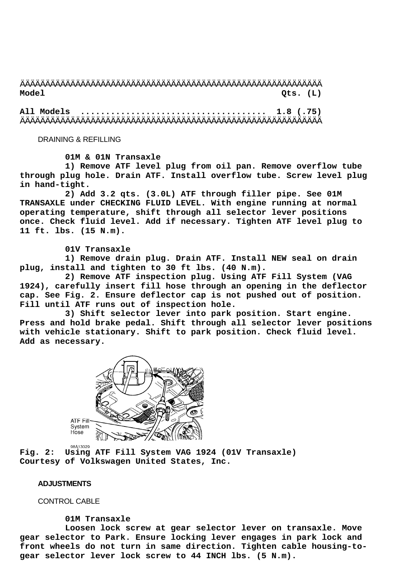# ÄÄÄÄÄÄÄÄÄÄÄÄÄÄÄÄÄÄÄÄÄÄÄÄÄÄÄÄÄÄÄÄÄÄÄÄÄÄÄÄÄÄÄÄÄÄÄÄÄÄÄÄÄÄÄÄÄÄÄÄ **Model Qts. (L)**

**All Models ..................................... 1.8 (.75)** ÄÄÄÄÄÄÄÄÄÄÄÄÄÄÄÄÄÄÄÄÄÄÄÄÄÄÄÄÄÄÄÄÄÄÄÄÄÄÄÄÄÄÄÄÄÄÄÄÄÄÄÄÄÄÄÄÄÄÄÄ

DRAINING & REFILLING

 **01M & 01N Transaxle**

 **1) Remove ATF level plug from oil pan. Remove overflow tube through plug hole. Drain ATF. Install overflow tube. Screw level plug in hand-tight.**

 **2) Add 3.2 qts. (3.0L) ATF through filler pipe. See 01M TRANSAXLE under CHECKING FLUID LEVEL. With engine running at normal operating temperature, shift through all selector lever positions once. Check fluid level. Add if necessary. Tighten ATF level plug to 11 ft. lbs. (15 N.m).**

 **01V Transaxle**

 **1) Remove drain plug. Drain ATF. Install NEW seal on drain plug, install and tighten to 30 ft lbs. (40 N.m).**

 **2) Remove ATF inspection plug. Using ATF Fill System (VAG 1924), carefully insert fill hose through an opening in the deflector cap. See Fig. 2. Ensure deflector cap is not pushed out of position. Fill until ATF runs out of inspection hole.**

 **3) Shift selector lever into park position. Start engine. Press and hold brake pedal. Shift through all selector lever positions with vehicle stationary. Shift to park position. Check fluid level. Add as necessary.**



**Fig. 2: Using ATF Fill System VAG 1924 (01V Transaxle) Courtesy of Volkswagen United States, Inc.**

#### **ADJUSTMENTS**

CONTROL CABLE

 **01M Transaxle**

 **Loosen lock screw at gear selector lever on transaxle. Move gear selector to Park. Ensure locking lever engages in park lock and front wheels do not turn in same direction. Tighten cable housing-togear selector lever lock screw to 44 INCH lbs. (5 N.m).**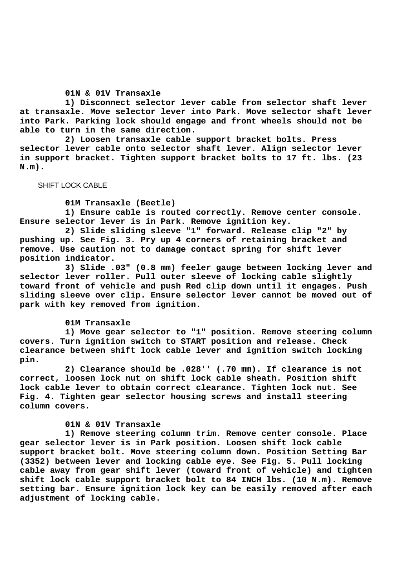#### **01N & 01V Transaxle**

 **1) Disconnect selector lever cable from selector shaft lever at transaxle. Move selector lever into Park. Move selector shaft lever into Park. Parking lock should engage and front wheels should not be able to turn in the same direction.**

 **2) Loosen transaxle cable support bracket bolts. Press selector lever cable onto selector shaft lever. Align selector lever in support bracket. Tighten support bracket bolts to 17 ft. lbs. (23 N.m).**

## SHIFT LOCK CABLE

### **01M Transaxle (Beetle)**

 **1) Ensure cable is routed correctly. Remove center console. Ensure selector lever is in Park. Remove ignition key.**

 **2) Slide sliding sleeve "1" forward. Release clip "2" by pushing up. See Fig. 3. Pry up 4 corners of retaining bracket and remove. Use caution not to damage contact spring for shift lever position indicator.**

 **3) Slide .03" (0.8 mm) feeler gauge between locking lever and selector lever roller. Pull outer sleeve of locking cable slightly toward front of vehicle and push Red clip down until it engages. Push sliding sleeve over clip. Ensure selector lever cannot be moved out of park with key removed from ignition.**

#### **01M Transaxle**

 **1) Move gear selector to "1" position. Remove steering column covers. Turn ignition switch to START position and release. Check clearance between shift lock cable lever and ignition switch locking pin.**

 **2) Clearance should be .028'' (.70 mm). If clearance is not correct, loosen lock nut on shift lock cable sheath. Position shift lock cable lever to obtain correct clearance. Tighten lock nut. See Fig. 4. Tighten gear selector housing screws and install steering column covers.**

## **01N & 01V Transaxle**

 **1) Remove steering column trim. Remove center console. Place gear selector lever is in Park position. Loosen shift lock cable support bracket bolt. Move steering column down. Position Setting Bar (3352) between lever and locking cable eye. See Fig. 5. Pull locking cable away from gear shift lever (toward front of vehicle) and tighten shift lock cable support bracket bolt to 84 INCH lbs. (10 N.m). Remove setting bar. Ensure ignition lock key can be easily removed after each adjustment of locking cable.**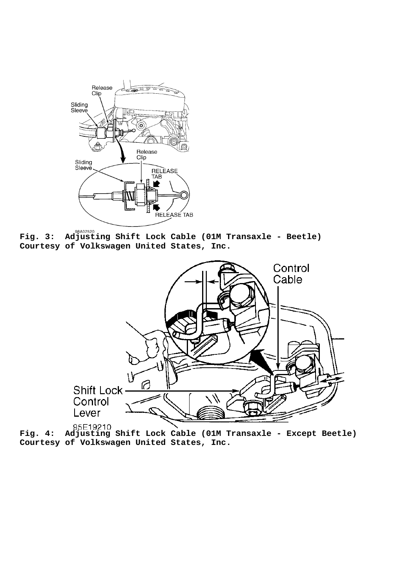

**Fig. 3: Adjusting Shift Lock Cable (01M Transaxle - Beetle) Courtesy of Volkswagen United States, Inc.**



**Fig. 4: Adjusting Shift Lock Cable (01M Transaxle - Except Beetle) Courtesy of Volkswagen United States, Inc.**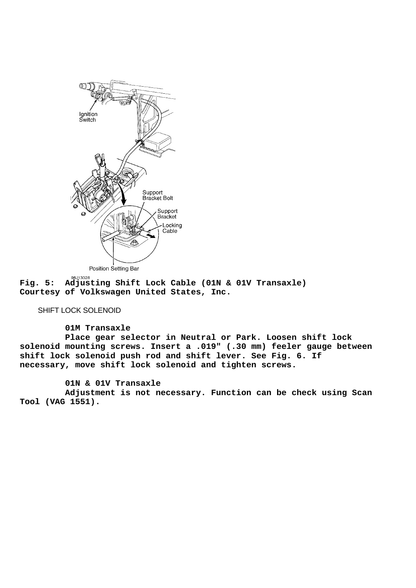

**Fig. 5: Adjusting Shift Lock Cable (01N & 01V Transaxle) Courtesy of Volkswagen United States, Inc.**

# SHIFT LOCK SOLENOID

## **01M Transaxle**

 **Place gear selector in Neutral or Park. Loosen shift lock solenoid mounting screws. Insert a .019" (.30 mm) feeler gauge between shift lock solenoid push rod and shift lever. See Fig. 6. If necessary, move shift lock solenoid and tighten screws.**

## **01N & 01V Transaxle**

 **Adjustment is not necessary. Function can be check using Scan Tool (VAG 1551).**